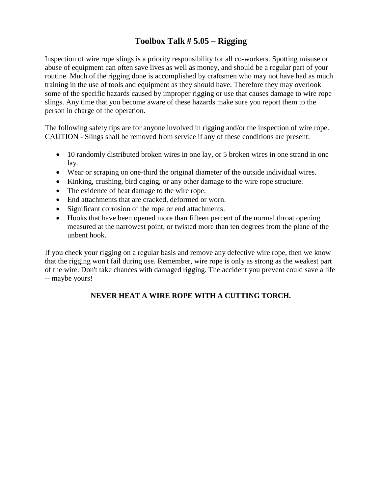### **Toolbox Talk # 5.05 – Rigging**

Inspection of wire rope slings is a priority responsibility for all co-workers. Spotting misuse or abuse of equipment can often save lives as well as money, and should be a regular part of your routine. Much of the rigging done is accomplished by craftsmen who may not have had as much training in the use of tools and equipment as they should have. Therefore they may overlook some of the specific hazards caused by improper rigging or use that causes damage to wire rope slings. Any time that you become aware of these hazards make sure you report them to the person in charge of the operation.

The following safety tips are for anyone involved in rigging and/or the inspection of wire rope. CAUTION - Slings shall be removed from service if any of these conditions are present:

- 10 randomly distributed broken wires in one lay, or 5 broken wires in one strand in one lay.
- Wear or scraping on one-third the original diameter of the outside individual wires.
- Kinking, crushing, bird caging, or any other damage to the wire rope structure.
- The evidence of heat damage to the wire rope.
- End attachments that are cracked, deformed or worn.
- Significant corrosion of the rope or end attachments.
- Hooks that have been opened more than fifteen percent of the normal throat opening measured at the narrowest point, or twisted more than ten degrees from the plane of the unbent hook.

If you check your rigging on a regular basis and remove any defective wire rope, then we know that the rigging won't fail during use. Remember, wire rope is only as strong as the weakest part of the wire. Don't take chances with damaged rigging. The accident you prevent could save a life -- maybe yours!

#### **NEVER HEAT A WIRE ROPE WITH A CUTTING TORCH.**